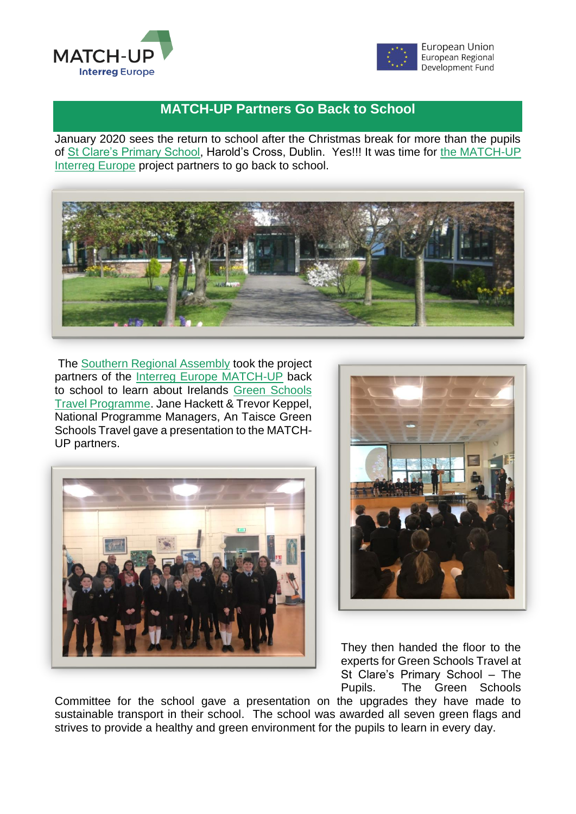



## **MATCH-UP Partners Go Back to School**

January 2020 sees the return to school after the Christmas break for more than the pupils of [St Clare's Primary School,](http://www.stclares.ie/) Harold's Cross, Dublin. Yes!!! It was time for [the MATCH-UP](https://www.interregeurope.eu/match-up/library/) [Interreg Europe](https://www.interregeurope.eu/match-up/library/) project partners to go back to school.



The [Southern Regional Assembly](https://www.southernassembly.ie/eu-programmes/eu-projects) took the project partners of the [Interreg Europe MATCH-UP](https://www.interregeurope.eu/match-up/library/) back to school to learn about Irelands [Green Schools](https://greenschoolsireland.org/themes/travel/)  [Travel Programme.](https://greenschoolsireland.org/themes/travel/) Jane Hackett & Trevor Keppel, National Programme Managers, An Taisce Green Schools Travel gave a presentation to the MATCH-UP partners.





They then handed the floor to the experts for Green Schools Travel at St Clare's Primary School – The Pupils. The Green Schools

Committee for the school gave a presentation on the upgrades they have made to sustainable transport in their school. The school was awarded all seven green flags and strives to provide a healthy and green environment for the pupils to learn in every day.